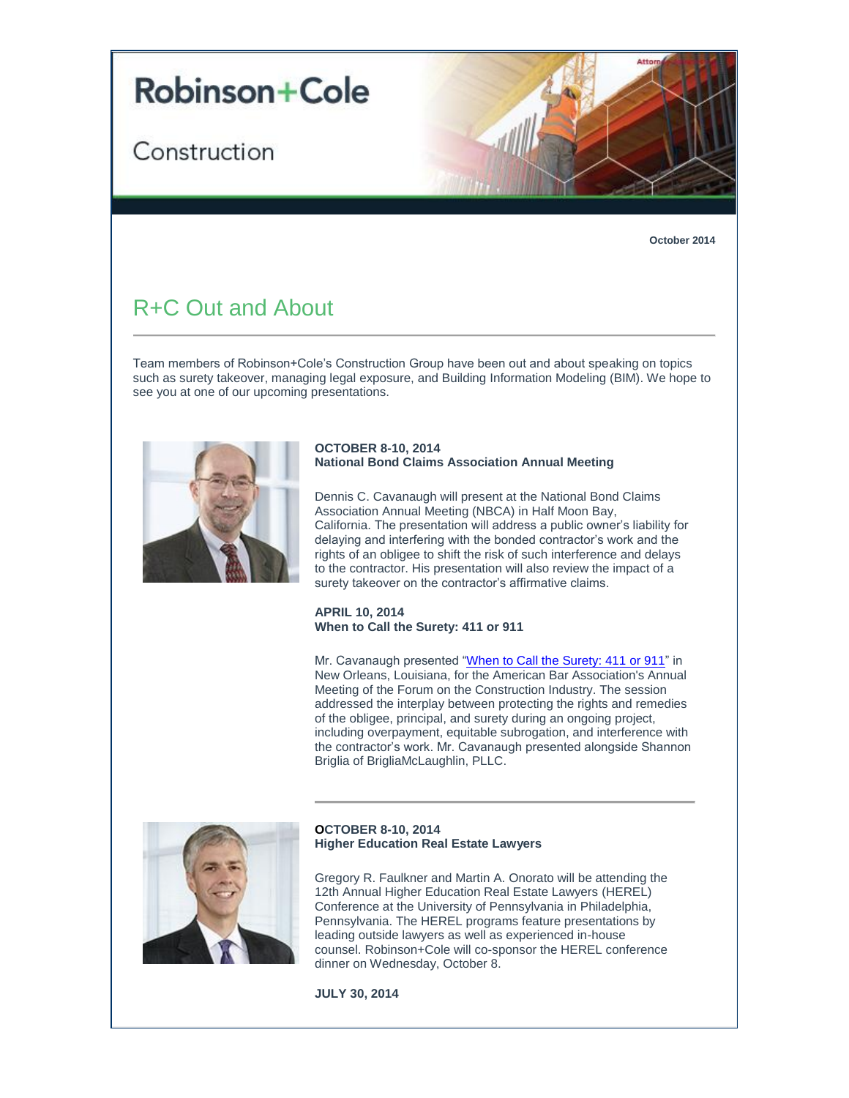# **Robinson+Cole**

## Construction



**October 2014**

### R+C Out and About

Team members of Robinson+Cole's Construction Group have been out and about speaking on topics such as surety takeover, managing legal exposure, and Building Information Modeling (BIM). We hope to see you at one of our upcoming presentations.



#### **OCTOBER 8-10, 2014 National Bond Claims Association Annual Meeting**

Dennis C. Cavanaugh will present at the National Bond Claims Association Annual Meeting (NBCA) in Half Moon Bay, California. The presentation will address a public owner's liability for delaying and interfering with the bonded contractor's work and the rights of an obligee to shift the risk of such interference and delays to the contractor. His presentation will also review the impact of a surety takeover on the contractor's affirmative claims.

#### **APRIL 10, 2014 When to Call the Surety: 411 or 911**

Mr. Cavanaugh presented ["When to Call the Surety: 411 or 911"](http://t2806904.omkt.co/track.aspx?id=402|2AD478|6F10|19C|7AE|0|57D|1|2108AAD9&destination=http%3a%2f%2ft2806904.invoc.us%2ftrack.aspx%3fid%3d402%7c2AD478%7c6F10%7c1D1%7c12E%7c0%7c1A7%7c1%7c29F0A611%26useSmaid%3dt%26useCid%3dt%26destination%3dhttp%253a%252f%252fwww.americanbar.org%252fgroups%252fconstruction_industry%252fevents_cle.html%26dchk%3d7EF40FEA&dchk=CD99A82) in New Orleans, Louisiana, for the American Bar Association's Annual Meeting of the Forum on the Construction Industry. The session addressed the interplay between protecting the rights and remedies of the obligee, principal, and surety during an ongoing project, including overpayment, equitable subrogation, and interference with the contractor's work. Mr. Cavanaugh presented alongside Shannon Briglia of BrigliaMcLaughlin, PLLC.



#### **OCTOBER 8-10, 2014 Higher Education Real Estate Lawyers**

Gregory R. Faulkner and Martin A. Onorato will be attending the 12th Annual Higher Education Real Estate Lawyers (HEREL) Conference at the University of Pennsylvania in Philadelphia, Pennsylvania. The HEREL programs feature presentations by leading outside lawyers as well as experienced in-house counsel. Robinson+Cole will co-sponsor the HEREL conference dinner on Wednesday, October 8.

**JULY 30, 2014**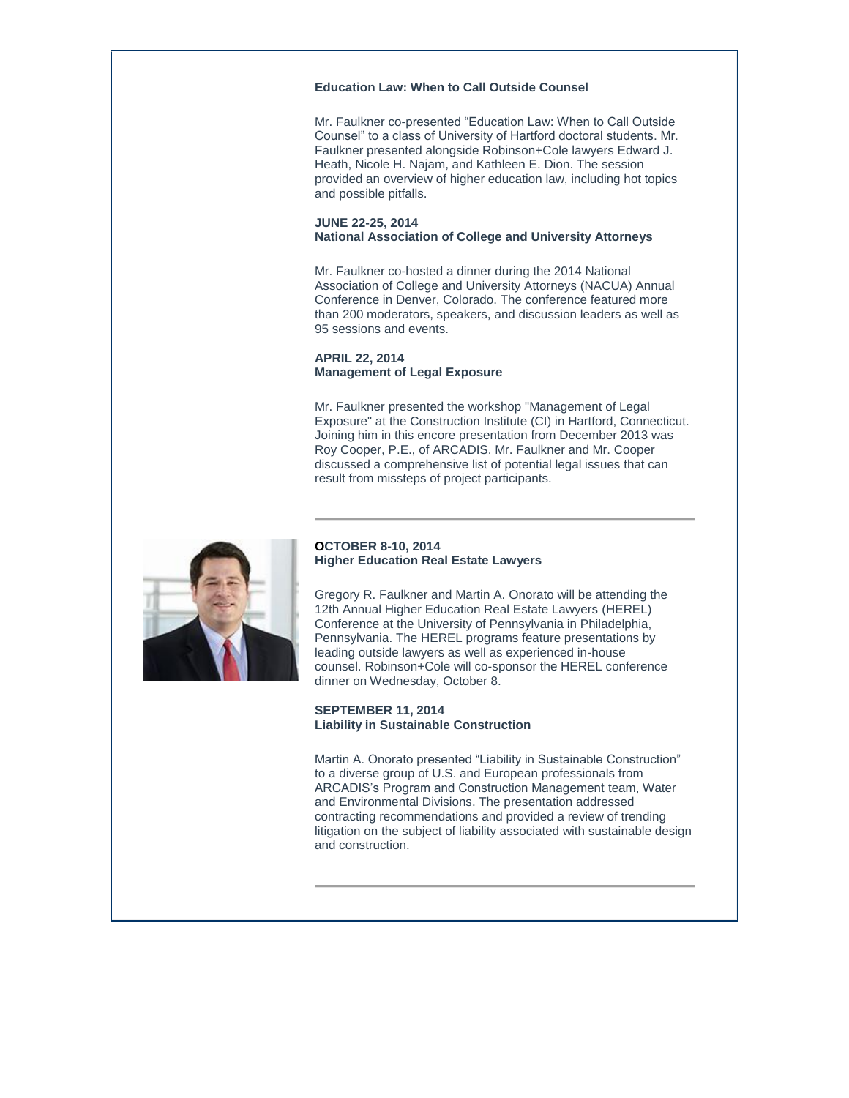#### **Education Law: When to Call Outside Counsel**

Mr. Faulkner co-presented "Education Law: When to Call Outside Counsel" to a class of University of Hartford doctoral students. Mr. Faulkner presented alongside Robinson+Cole lawyers Edward J. Heath, Nicole H. Najam, and Kathleen E. Dion. The session provided an overview of higher education law, including hot topics and possible pitfalls.

#### **JUNE 22-25, 2014 National Association of College and University Attorneys**

Mr. Faulkner co-hosted a dinner during the 2014 National Association of College and University Attorneys (NACUA) Annual Conference in Denver, Colorado. The conference featured more than 200 moderators, speakers, and discussion leaders as well as 95 sessions and events.

#### **APRIL 22, 2014 Management of Legal Exposure**

Mr. Faulkner presented the workshop "Management of Legal Exposure" at the Construction Institute (CI) in Hartford, Connecticut. Joining him in this encore presentation from December 2013 was Roy Cooper, P.E., of ARCADIS. Mr. Faulkner and Mr. Cooper discussed a comprehensive list of potential legal issues that can result from missteps of project participants.



#### **OCTOBER 8-10, 2014 Higher Education Real Estate Lawyers**

Gregory R. Faulkner and Martin A. Onorato will be attending the 12th Annual Higher Education Real Estate Lawyers (HEREL) Conference at the University of Pennsylvania in Philadelphia, Pennsylvania. The HEREL programs feature presentations by leading outside lawyers as well as experienced in-house counsel. Robinson+Cole will co-sponsor the HEREL conference dinner on Wednesday, October 8.

#### **SEPTEMBER 11, 2014 Liability in Sustainable Construction**

Martin A. Onorato presented "Liability in Sustainable Construction" to a diverse group of U.S. and European professionals from ARCADIS's Program and Construction Management team, Water and Environmental Divisions. The presentation addressed contracting recommendations and provided a review of trending litigation on the subject of liability associated with sustainable design and construction.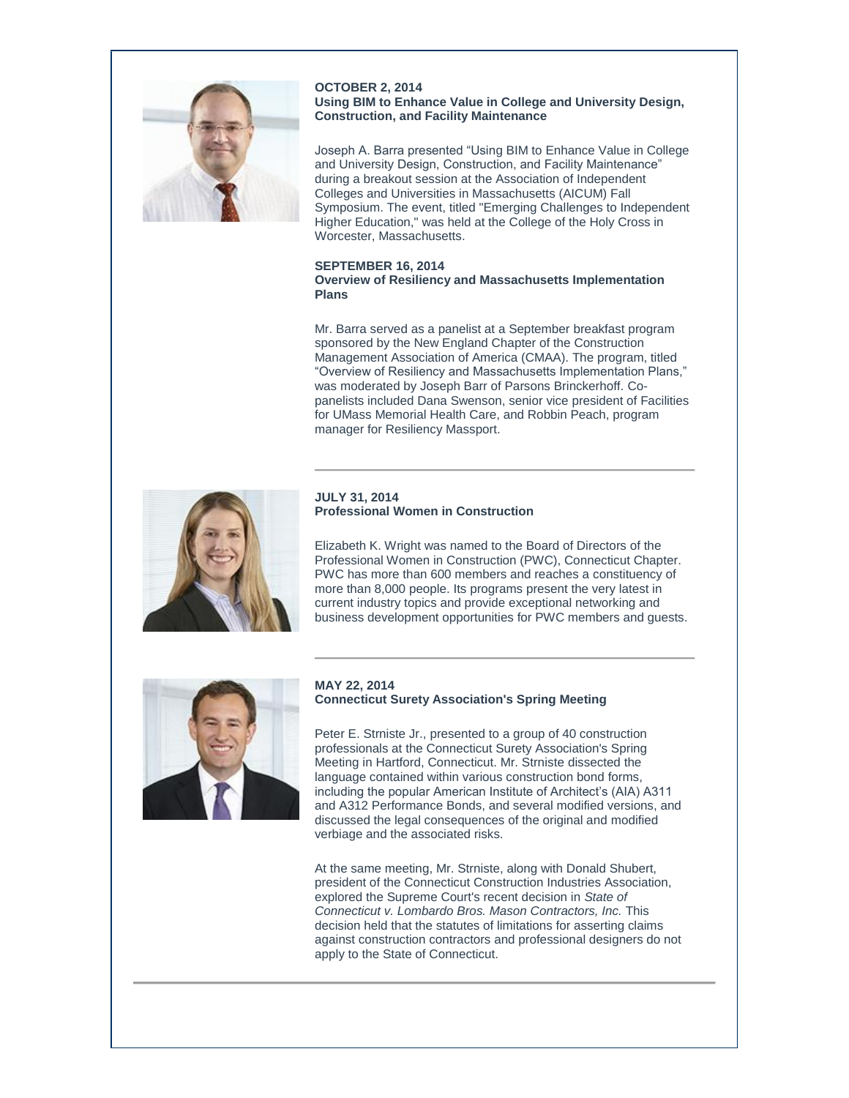

**OCTOBER 2, 2014 Using BIM to Enhance Value in College and University Design, Construction, and Facility Maintenance**

Joseph A. Barra presented "Using BIM to Enhance Value in College and University Design, Construction, and Facility Maintenance" during a breakout session at the Association of Independent Colleges and Universities in Massachusetts (AICUM) Fall Symposium. The event, titled "Emerging Challenges to Independent Higher Education," was held at the College of the Holy Cross in Worcester, Massachusetts.

#### **SEPTEMBER 16, 2014 Overview of Resiliency and Massachusetts Implementation Plans**

Mr. Barra served as a panelist at a September breakfast program sponsored by the New England Chapter of the Construction Management Association of America (CMAA). The program, titled "Overview of Resiliency and Massachusetts Implementation Plans," was moderated by Joseph Barr of Parsons Brinckerhoff. Copanelists included Dana Swenson, senior vice president of Facilities for UMass Memorial Health Care, and Robbin Peach, program manager for Resiliency Massport.



#### **JULY 31, 2014 Professional Women in Construction**

Elizabeth K. Wright was named to the Board of Directors of the Professional Women in Construction (PWC), Connecticut Chapter. PWC has more than 600 members and reaches a constituency of more than 8,000 people. Its programs present the very latest in current industry topics and provide exceptional networking and business development opportunities for PWC members and guests.



#### **MAY 22, 2014 Connecticut Surety Association's Spring Meeting**

Peter E. Strniste Jr., presented to a group of 40 construction professionals at the Connecticut Surety Association's Spring Meeting in Hartford, Connecticut. Mr. Strniste dissected the language contained within various construction bond forms, including the popular American Institute of Architect's (AIA) A311 and A312 Performance Bonds, and several modified versions, and discussed the legal consequences of the original and modified verbiage and the associated risks.

At the same meeting, Mr. Strniste, along with Donald Shubert, president of the Connecticut Construction Industries Association, explored the Supreme Court's recent decision in *State of Connecticut v. Lombardo Bros. Mason Contractors, Inc.* This decision held that the statutes of limitations for asserting claims against construction contractors and professional designers do not apply to the State of Connecticut.